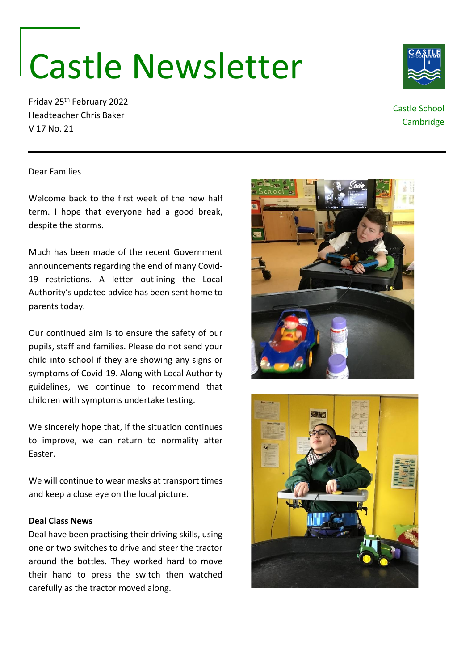# Castle Newsletter

Friday 25th February 2022 Headteacher Chris Baker V 17 No. 21

Dear Families

Welcome back to the first week of the new half term. I hope that everyone had a good break, despite the storms.

Much has been made of the recent Government announcements regarding the end of many Covid-19 restrictions. A letter outlining the Local Authority's updated advice has been sent home to parents today.

Our continued aim is to ensure the safety of our pupils, staff and families. Please do not send your child into school if they are showing any signs or symptoms of Covid-19. Along with Local Authority guidelines, we continue to recommend that children with symptoms undertake testing.

We sincerely hope that, if the situation continues to improve, we can return to normality after Easter.

We will continue to wear masks at transport times and keep a close eye on the local picture.

#### **Deal Class News**

Deal have been practising their driving skills, using one or two switches to drive and steer the tractor around the bottles. They worked hard to move their hand to press the switch then watched carefully as the tractor moved along.







## Castle School Cambridge